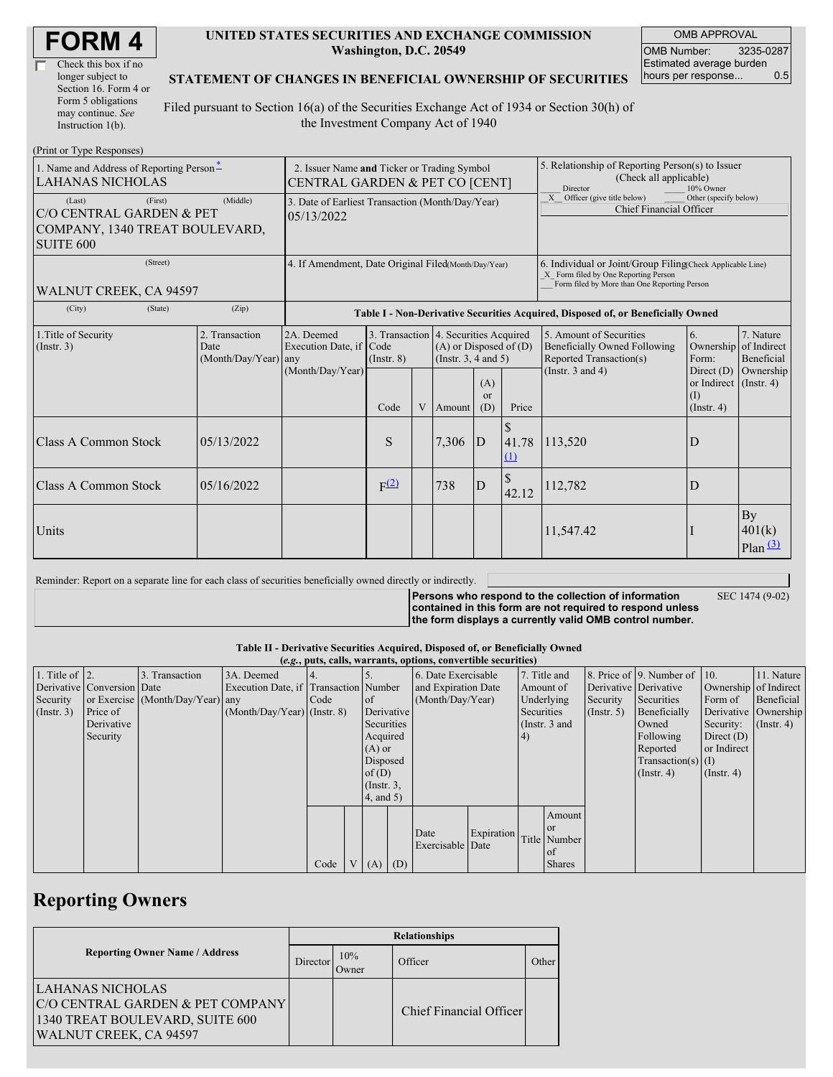| Check this box if no  |
|-----------------------|
| longer subject to     |
| Section 16. Form 4 or |
| Form 5 obligations    |
| may continue. See     |
| Instruction 1(b).     |

#### **UNITED STATES SECURITIES AND EXCHANGE COMMISSION Washington, D.C. 20549**

OMB APPROVAL OMB Number: 3235-0287 Estimated average burden hours per response... 0.5

#### **STATEMENT OF CHANGES IN BENEFICIAL OWNERSHIP OF SECURITIES**

Filed pursuant to Section 16(a) of the Securities Exchange Act of 1934 or Section 30(h) of the Investment Company Act of 1940

| (Print or Type Responses)                                                                                       |                                                                               |                                                                                  |                  |   |                                                                                                        |                      |                                                                                                     |                                                                                                                                                                                   |                         |                                                     |
|-----------------------------------------------------------------------------------------------------------------|-------------------------------------------------------------------------------|----------------------------------------------------------------------------------|------------------|---|--------------------------------------------------------------------------------------------------------|----------------------|-----------------------------------------------------------------------------------------------------|-----------------------------------------------------------------------------------------------------------------------------------------------------------------------------------|-------------------------|-----------------------------------------------------|
| 1. Name and Address of Reporting Person-<br><b>LAHANAS NICHOLAS</b>                                             | 2. Issuer Name and Ticker or Trading Symbol<br>CENTRAL GARDEN & PET CO [CENT] |                                                                                  |                  |   |                                                                                                        |                      | 5. Relationship of Reporting Person(s) to Issuer<br>(Check all applicable)<br>Director<br>10% Owner |                                                                                                                                                                                   |                         |                                                     |
| (Middle)<br>(First)<br>(Last)<br>C/O CENTRAL GARDEN & PET<br>COMPANY, 1340 TREAT BOULEVARD,<br><b>SUITE 600</b> |                                                                               | 3. Date of Earliest Transaction (Month/Day/Year)<br>05/13/2022                   |                  |   |                                                                                                        |                      |                                                                                                     | X Officer (give title below)<br>Other (specify below)<br><b>Chief Financial Officer</b>                                                                                           |                         |                                                     |
| (Street)<br>WALNUT CREEK, CA 94597                                                                              |                                                                               | 4. If Amendment, Date Original Filed Month/Day/Year)                             |                  |   |                                                                                                        |                      |                                                                                                     | 6. Individual or Joint/Group Filing Check Applicable Line)<br>X Form filed by One Reporting Person<br>Form filed by More than One Reporting Person                                |                         |                                                     |
| (City)<br>(State)                                                                                               | (Zip)                                                                         | Table I - Non-Derivative Securities Acquired, Disposed of, or Beneficially Owned |                  |   |                                                                                                        |                      |                                                                                                     |                                                                                                                                                                                   |                         |                                                     |
| 1. Title of Security<br>(Insert. 3)                                                                             | 2. Transaction<br>Date<br>$(Month/Day/Year)$ any                              | 2A. Deemed<br>Execution Date, if Code<br>(Month/Day/Year)                        | $($ Instr. $8)$  |   | 3. Transaction 4. Securities Acquired<br>$(A)$ or Disposed of $(D)$<br>(Instr. $3, 4$ and $5$ )<br>(A) |                      |                                                                                                     | 5. Amount of Securities<br>6.<br>Ownership<br>Beneficially Owned Following<br>Reported Transaction(s)<br>Form:<br>(Instr. $3$ and $4$ )<br>Direct $(D)$<br>or Indirect (Instr. 4) |                         | 7. Nature<br>of Indirect<br>Beneficial<br>Ownership |
|                                                                                                                 |                                                                               |                                                                                  | Code             | V | Amount                                                                                                 | <sub>or</sub><br>(D) | Price                                                                                               |                                                                                                                                                                                   | (I)<br>$($ Instr. 4 $)$ |                                                     |
| Class A Common Stock                                                                                            | 05/13/2022                                                                    |                                                                                  | S                |   | 7,306                                                                                                  | $\overline{D}$       | \$<br>41.78<br>$\Omega$                                                                             | 113,520                                                                                                                                                                           | D                       |                                                     |
| <b>Class A Common Stock</b>                                                                                     | 05/16/2022                                                                    |                                                                                  | F <sup>(2)</sup> |   | 738                                                                                                    | ID                   | \$<br>42.12                                                                                         | 112,782                                                                                                                                                                           | D                       |                                                     |
| Units                                                                                                           |                                                                               |                                                                                  |                  |   |                                                                                                        |                      |                                                                                                     | 11,547.42                                                                                                                                                                         |                         | By<br>401(k)<br>$Plan$ <sup>(3)</sup>               |

Reminder: Report on a separate line for each class of securities beneficially owned directly or indirectly.

**Persons who respond to the collection of information contained in this form are not required to respond unless the form displays a currently valid OMB control number.**

SEC 1474 (9-02)

**Table II - Derivative Securities Acquired, Disposed of, or Beneficially Owned**

| (e.g., puts, calls, warrants, options, convertible securities) |                            |                                  |                                       |      |                |                  |                     |                     |            |              |               |                       |                          |                      |               |
|----------------------------------------------------------------|----------------------------|----------------------------------|---------------------------------------|------|----------------|------------------|---------------------|---------------------|------------|--------------|---------------|-----------------------|--------------------------|----------------------|---------------|
| 1. Title of $\vert$ 2.                                         |                            | 3. Transaction                   | 3A. Deemed                            |      |                |                  |                     | 6. Date Exercisable |            | 7. Title and |               |                       | 8. Price of 9. Number of | $\vert$ 10.          | 11. Nature    |
|                                                                | Derivative Conversion Date |                                  | Execution Date, if Transaction Number |      |                |                  | and Expiration Date |                     | Amount of  |              |               | Derivative Derivative | Ownership of Indirect    |                      |               |
| Security                                                       |                            | or Exercise (Month/Day/Year) any |                                       | Code |                | of               | (Month/Day/Year)    |                     | Underlying |              | Security      | Securities            | Form of                  | Beneficial           |               |
| $($ Instr. 3 $)$                                               | Price of                   |                                  | $(Month/Day/Year)$ (Instr. 8)         |      |                |                  | Derivative          |                     | Securities |              | $($ Instr. 5) | Beneficially          |                          | Derivative Ownership |               |
|                                                                | Derivative                 |                                  |                                       |      |                | Securities       |                     |                     |            |              | (Instr. 3 and |                       | Owned                    | Security:            | $($ Instr. 4) |
|                                                                | Security                   |                                  |                                       |      |                | Acquired         |                     |                     |            | 4)           |               |                       | Following                | Direct $(D)$         |               |
|                                                                |                            |                                  |                                       |      |                | $(A)$ or         |                     |                     |            |              |               |                       | Reported                 | or Indirect          |               |
|                                                                |                            |                                  |                                       |      |                | Disposed         |                     |                     |            |              |               |                       | $Transaction(s)$ (I)     |                      |               |
|                                                                |                            |                                  |                                       |      |                | of $(D)$         |                     |                     |            |              |               |                       | $($ Instr. 4 $)$         | $($ Instr. 4 $)$     |               |
|                                                                |                            |                                  |                                       |      |                | $($ Instr. $3$ , |                     |                     |            |              |               |                       |                          |                      |               |
|                                                                |                            |                                  |                                       |      |                | 4, and 5)        |                     |                     |            |              |               |                       |                          |                      |               |
|                                                                |                            |                                  |                                       |      |                |                  |                     |                     |            |              | Amount        |                       |                          |                      |               |
|                                                                |                            |                                  |                                       |      |                |                  |                     |                     |            |              | <sub>or</sub> |                       |                          |                      |               |
|                                                                |                            |                                  |                                       |      |                |                  |                     | Date                | Expiration |              | Title Number  |                       |                          |                      |               |
|                                                                |                            |                                  |                                       |      |                |                  |                     | Exercisable Date    |            |              | of of         |                       |                          |                      |               |
|                                                                |                            |                                  |                                       | Code | V <sub>1</sub> | $(A)$ $(D)$      |                     |                     |            |              | <b>Shares</b> |                       |                          |                      |               |

## **Reporting Owners**

|                                                                                                                   | <b>Relationships</b> |               |                         |       |  |  |  |  |
|-------------------------------------------------------------------------------------------------------------------|----------------------|---------------|-------------------------|-------|--|--|--|--|
| <b>Reporting Owner Name / Address</b>                                                                             | Director             | 10%<br>.)wner | Officer                 | Other |  |  |  |  |
| LAHANAS NICHOLAS<br>C/O CENTRAL GARDEN & PET COMPANY<br>1340 TREAT BOULEVARD, SUITE 600<br>WALNUT CREEK, CA 94597 |                      |               | Chief Financial Officer |       |  |  |  |  |